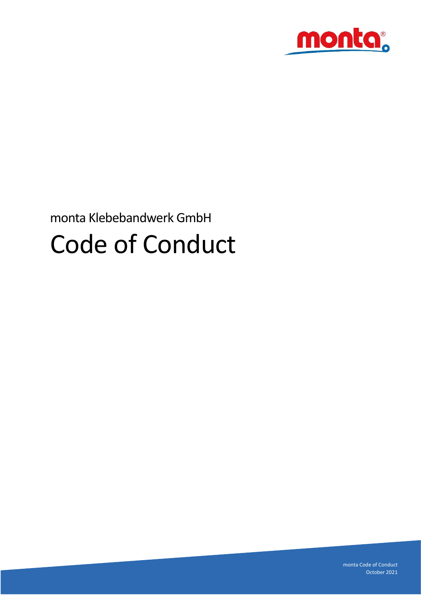

# monta Klebebandwerk GmbH Code of Conduct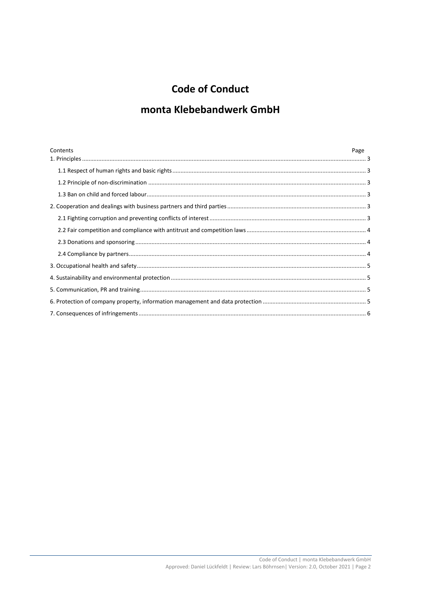# **Code of Conduct**

# monta Klebebandwerk GmbH

| Contents | Page |
|----------|------|
|          |      |
|          |      |
|          |      |
|          |      |
|          |      |
|          |      |
|          |      |
|          |      |
|          |      |
|          |      |
|          |      |
|          |      |
|          |      |
|          |      |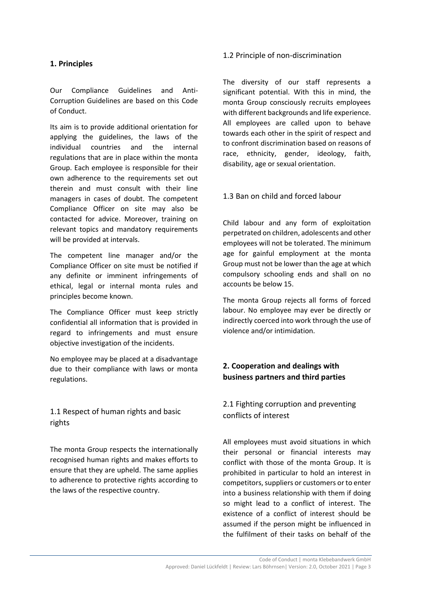#### <span id="page-2-0"></span>**1. Principles**

Our Compliance Guidelines and Anti-Corruption Guidelines are based on this Code of Conduct.

Its aim is to provide additional orientation for applying the guidelines, the laws of the individual countries and the internal regulations that are in place within the monta Group. Each employee is responsible for their own adherence to the requirements set out therein and must consult with their line managers in cases of doubt. The competent Compliance Officer on site may also be contacted for advice. Moreover, training on relevant topics and mandatory requirements will be provided at intervals.

The competent line manager and/or the Compliance Officer on site must be notified if any definite or imminent infringements of ethical, legal or internal monta rules and principles become known.

The Compliance Officer must keep strictly confidential all information that is provided in regard to infringements and must ensure objective investigation of the incidents.

No employee may be placed at a disadvantage due to their compliance with laws or monta regulations.

# <span id="page-2-1"></span>1.1 Respect of human rights and basic rights

The monta Group respects the internationally recognised human rights and makes efforts to ensure that they are upheld. The same applies to adherence to protective rights according to the laws of the respective country.

#### <span id="page-2-2"></span>1.2 Principle of non-discrimination

The diversity of our staff represents a significant potential. With this in mind, the monta Group consciously recruits employees with different backgrounds and life experience. All employees are called upon to behave towards each other in the spirit of respect and to confront discrimination based on reasons of race, ethnicity, gender, ideology, faith, disability, age or sexual orientation.

#### <span id="page-2-3"></span>1.3 Ban on child and forced labour

Child labour and any form of exploitation perpetrated on children, adolescents and other employees will not be tolerated. The minimum age for gainful employment at the monta Group must not be lower than the age at which compulsory schooling ends and shall on no accounts be below 15.

The monta Group rejects all forms of forced labour. No employee may ever be directly or indirectly coerced into work through the use of violence and/or intimidation.

## <span id="page-2-4"></span>**2. Cooperation and dealings with business partners and third parties**

# <span id="page-2-5"></span>2.1 Fighting corruption and preventing conflicts of interest

All employees must avoid situations in which their personal or financial interests may conflict with those of the monta Group. It is prohibited in particular to hold an interest in competitors, suppliers or customers or to enter into a business relationship with them if doing so might lead to a conflict of interest. The existence of a conflict of interest should be assumed if the person might be influenced in the fulfilment of their tasks on behalf of the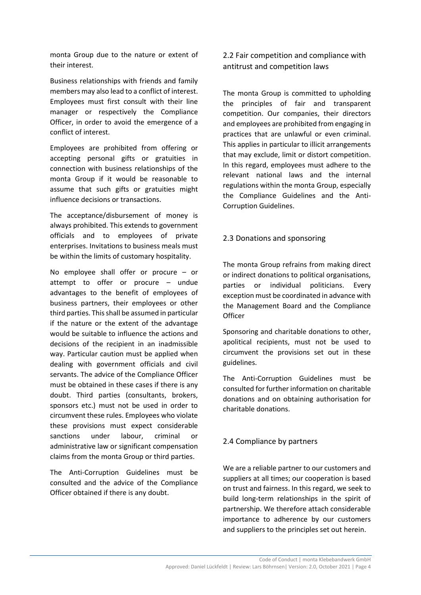monta Group due to the nature or extent of their interest.

Business relationships with friends and family members may also lead to a conflict of interest. Employees must first consult with their line manager or respectively the Compliance Officer, in order to avoid the emergence of a conflict of interest.

Employees are prohibited from offering or accepting personal gifts or gratuities in connection with business relationships of the monta Group if it would be reasonable to assume that such gifts or gratuities might influence decisions or transactions.

The acceptance/disbursement of money is always prohibited. This extends to government officials and to employees of private enterprises. Invitations to business meals must be within the limits of customary hospitality.

No employee shall offer or procure – or attempt to offer or procure – undue advantages to the benefit of employees of business partners, their employees or other third parties. This shall be assumed in particular if the nature or the extent of the advantage would be suitable to influence the actions and decisions of the recipient in an inadmissible way. Particular caution must be applied when dealing with government officials and civil servants. The advice of the Compliance Officer must be obtained in these cases if there is any doubt. Third parties (consultants, brokers, sponsors etc.) must not be used in order to circumvent these rules. Employees who violate these provisions must expect considerable sanctions under labour, criminal or administrative law or significant compensation claims from the monta Group or third parties.

The Anti-Corruption Guidelines must be consulted and the advice of the Compliance Officer obtained if there is any doubt.

<span id="page-3-0"></span>2.2 Fair competition and compliance with antitrust and competition laws

The monta Group is committed to upholding the principles of fair and transparent competition. Our companies, their directors and employees are prohibited from engaging in practices that are unlawful or even criminal. This applies in particular to illicit arrangements that may exclude, limit or distort competition. In this regard, employees must adhere to the relevant national laws and the internal regulations within the monta Group, especially the Compliance Guidelines and the Anti-Corruption Guidelines.

#### <span id="page-3-1"></span>2.3 Donations and sponsoring

The monta Group refrains from making direct or indirect donations to political organisations, parties or individual politicians. Every exception must be coordinated in advance with the Management Board and the Compliance **Officer** 

Sponsoring and charitable donations to other, apolitical recipients, must not be used to circumvent the provisions set out in these guidelines.

The Anti-Corruption Guidelines must be consulted for further information on charitable donations and on obtaining authorisation for charitable donations.

## <span id="page-3-2"></span>2.4 Compliance by partners

We are a reliable partner to our customers and suppliers at all times; our cooperation is based on trust and fairness. In this regard, we seek to build long-term relationships in the spirit of partnership. We therefore attach considerable importance to adherence by our customers and suppliers to the principles set out herein.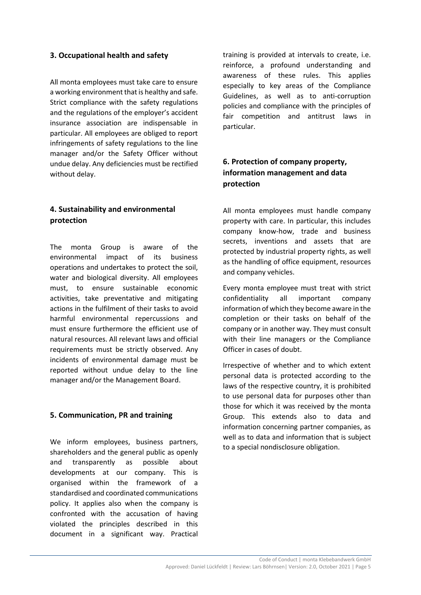#### <span id="page-4-0"></span>**3. Occupational health and safety**

All monta employees must take care to ensure a working environment that is healthy and safe. Strict compliance with the safety regulations and the regulations of the employer's accident insurance association are indispensable in particular. All employees are obliged to report infringements of safety regulations to the line manager and/or the Safety Officer without undue delay. Any deficiencies must be rectified without delay.

## <span id="page-4-1"></span>**4. Sustainability and environmental protection**

The monta Group is aware of the environmental impact of its business operations and undertakes to protect the soil, water and biological diversity. All employees must, to ensure sustainable economic activities, take preventative and mitigating actions in the fulfilment of their tasks to avoid harmful environmental repercussions and must ensure furthermore the efficient use of natural resources. All relevant laws and official requirements must be strictly observed. Any incidents of environmental damage must be reported without undue delay to the line manager and/or the Management Board.

#### <span id="page-4-2"></span>**5. Communication, PR and training**

We inform employees, business partners, shareholders and the general public as openly and transparently as possible about developments at our company. This is organised within the framework of a standardised and coordinated communications policy. It applies also when the company is confronted with the accusation of having violated the principles described in this document in a significant way. Practical

training is provided at intervals to create, i.e. reinforce, a profound understanding and awareness of these rules. This applies especially to key areas of the Compliance Guidelines, as well as to anti-corruption policies and compliance with the principles of fair competition and antitrust laws in particular.

# <span id="page-4-3"></span>**6. Protection of company property, information management and data protection**

All monta employees must handle company property with care. In particular, this includes company know-how, trade and business secrets, inventions and assets that are protected by industrial property rights, as well as the handling of office equipment, resources and company vehicles.

Every monta employee must treat with strict confidentiality all important company information of which they become aware in the completion or their tasks on behalf of the company or in another way. They must consult with their line managers or the Compliance Officer in cases of doubt.

Irrespective of whether and to which extent personal data is protected according to the laws of the respective country, it is prohibited to use personal data for purposes other than those for which it was received by the monta Group. This extends also to data and information concerning partner companies, as well as to data and information that is subject to a special nondisclosure obligation.